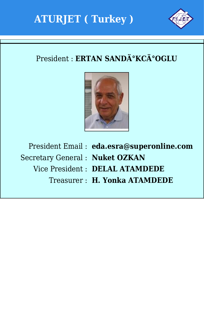



### President : **ERTAN SANDİKCİOGLU**



Secretary General : **Nuket OZKAN**

President Email : **eda.esra@superonline.com**

- 
- Vice President : **DELAL ATAMDEDE**
	- Treasurer : **H. Yonka ATAMDEDE**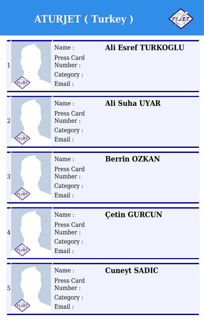

| $\overline{1}$ | Name:<br>Press Card<br>Number:<br>Category:<br>Email: | <b>Ali Esref TURKOGLU</b> |
|----------------|-------------------------------------------------------|---------------------------|
| $\overline{2}$ | Name:<br>Press Card<br>Number:<br>Category:<br>Email: | <b>Ali Suha UYAR</b>      |
| 3              | Name:<br>Press Card<br>Number:<br>Category:<br>Email: | <b>Berrin OZKAN</b>       |
| $\overline{4}$ | Name:<br>Press Card<br>Number:<br>Category:<br>Email: | <b>Çetin GURCUN</b>       |
| 5              | Name:<br>Press Card<br>Number:<br>Category:<br>Email: | <b>Cuneyt SADIC</b>       |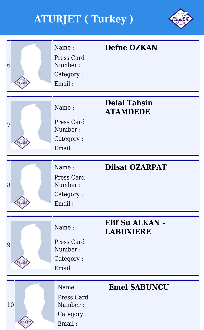

| 6  | Name:<br>Press Card<br>Number:<br>Category:<br>Email: | <b>Defne OZKAN</b>                     |
|----|-------------------------------------------------------|----------------------------------------|
| 7  | Name:<br>Press Card<br>Number:<br>Category:<br>Email: | <b>Delal Tahsin</b><br><b>ATAMDEDE</b> |
| 8  | Name:<br>Press Card<br>Number:<br>Category:<br>Email: | <b>Dilsat OZARPAT</b>                  |
| 9  | Name:<br>Press Card<br>Number:<br>Category:<br>Email: | Elif Su ALKAN -<br><b>LABUXIERE</b>    |
| 10 | Name:<br>Press Card<br>Number:<br>Category:<br>Email: | <b>Emel SABUNCU</b>                    |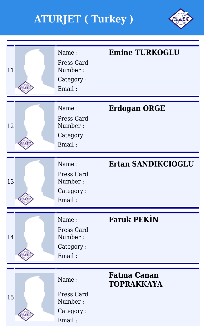

| 11 | Name:<br>Press Card<br>Number:<br>Category:<br>Email: | <b>Emine TURKOGLU</b>                   |
|----|-------------------------------------------------------|-----------------------------------------|
| 12 | Name:<br>Press Card<br>Number:<br>Category:<br>Email: | <b>Erdogan ORGE</b>                     |
| 13 | Name:<br>Press Card<br>Number:<br>Category:<br>Email: | <b>Ertan SANDIKCIOGLU</b>               |
| 14 | Name:<br>Press Card<br>Number:<br>Category:<br>Email: | <b>Faruk PEKIN</b>                      |
| 15 | Name:<br>Press Card<br>Number:<br>Category:<br>Email: | <b>Fatma Canan</b><br><b>TOPRAKKAYA</b> |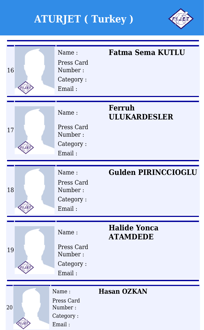

| 16 | Name:<br>Press Card<br>Number:<br>Category:<br>Email: | <b>Fatma Sema KUTLU</b>                |
|----|-------------------------------------------------------|----------------------------------------|
| 17 | Name:<br>Press Card<br>Number:<br>Category:<br>Email: | <b>Ferruh</b><br><b>ULUKARDESLER</b>   |
| 18 | Name:<br>Press Card<br>Number:<br>Category:<br>Email: | <b>Gulden PIRINCCIOGLU</b>             |
| 19 | Name:<br>Press Card<br>Number:<br>Category:<br>Email: | <b>Halide Yonca</b><br><b>ATAMDEDE</b> |
| 20 | Name:<br>Press Card<br>Number:<br>Category:<br>Email: | <b>Hasan OZKAN</b>                     |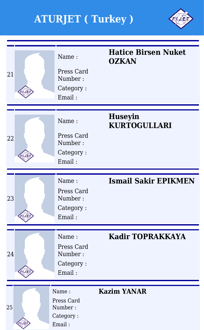

| 21 | Name:<br>Press Card<br>Number:<br>Category:<br>Email: | <b>Hatice Birsen Nuket</b><br><b>OZKAN</b> |
|----|-------------------------------------------------------|--------------------------------------------|
| 22 | Name:<br>Press Card<br>Number:<br>Category:<br>Email: | <b>Huseyin</b><br><b>KURTOGULLARI</b>      |
|    |                                                       |                                            |
| 23 | Name:<br>Press Card<br>Number:<br>Category:<br>Email: | <b>Ismail Sakir EPIKMEN</b>                |
| 24 | Name:<br>Press Card<br>Number:<br>Category:<br>Email: | <b>Kadir TOPRAKKAYA</b>                    |
|    |                                                       |                                            |
| 25 | Name:<br>Press Card<br>Number:<br>Category:<br>Email: | <b>Kazim YANAR</b>                         |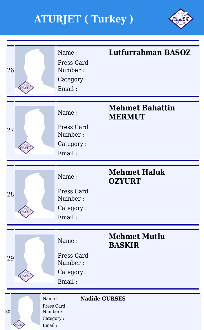

| 26              |                                                       | Name:<br>Press Card<br>Number:<br>Category:<br>Email: | <b>Lutfurrahman BASOZ</b>               |
|-----------------|-------------------------------------------------------|-------------------------------------------------------|-----------------------------------------|
| 27              |                                                       | Name:<br>Press Card<br>Number:<br>Category:<br>Email: | <b>Mehmet Bahattin</b><br><b>MERMUT</b> |
| 28              |                                                       | Name:<br>Press Card<br>Number:<br>Category:<br>Email: | <b>Mehmet Haluk</b><br><b>OZYURT</b>    |
| 29              |                                                       | Name:<br>Press Card<br>Number:<br>Category:<br>Email: | <b>Mehmet Mutlu</b><br><b>BASKIR</b>    |
| 30 <sup>°</sup> | Name:<br>Press Card<br>Number:<br>Category:<br>Email: |                                                       | <b>Nadide GURSES</b>                    |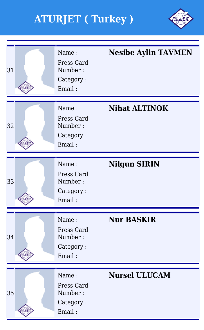

| 31 | Name:<br>Press Card<br>Number:<br>Category:<br>Email: | <b>Nesibe Aylin TAVMEN</b> |
|----|-------------------------------------------------------|----------------------------|
| 32 | Name:<br>Press Card<br>Number:<br>Category:<br>Email: | <b>Nihat ALTINOK</b>       |
| 33 | Name:<br>Press Card<br>Number:<br>Category:<br>Email: | <b>Nilgun SIRIN</b>        |
| 34 | Name:<br>Press Card<br>Number:<br>Category:<br>Email: | <b>Nur BASKIR</b>          |
| 35 | Name:<br>Press Card<br>Number:<br>Category:<br>Email: | <b>Nursel ULUCAM</b>       |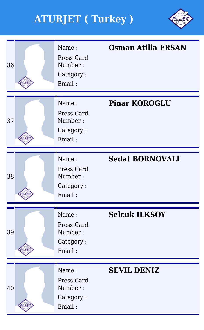

| 36 | Name:<br>Press Card<br>Number:<br>Category:<br>Email: | <b>Osman Atilla ERSAN</b> |
|----|-------------------------------------------------------|---------------------------|
| 37 | Name:<br>Press Card<br>Number:<br>Category:<br>Email: | <b>Pinar KOROGLU</b>      |
| 38 | Name:<br>Press Card<br>Number:<br>Category:<br>Email: | <b>Sedat BORNOVALI</b>    |
| 39 | Name:<br>Press Card<br>Number:<br>Category:<br>Email: | <b>Selcuk ILKSOY</b>      |
| 40 | Name:<br>Press Card<br>Number:<br>Category:<br>Email: | <b>SEVIL DENIZ</b>        |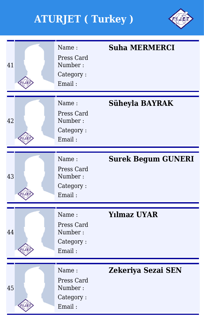

| 41 | Name:<br>Press Card<br>Number:<br>Category:<br>Email: | <b>Suha MERMERCI</b>      |
|----|-------------------------------------------------------|---------------------------|
| 42 | Name:<br>Press Card<br>Number:<br>Category:<br>Email: | Süheyla BAYRAK            |
| 43 | Name:<br>Press Card<br>Number:<br>Category:<br>Email: | <b>Surek Begum GUNERI</b> |
| 44 | Name:<br>Press Card<br>Number:<br>Category:<br>Email: | <b>Yılmaz UYAR</b>        |
| 45 | Name:<br>Press Card<br>Number:<br>Category:<br>Email: | Zekeriya Sezai SEN        |